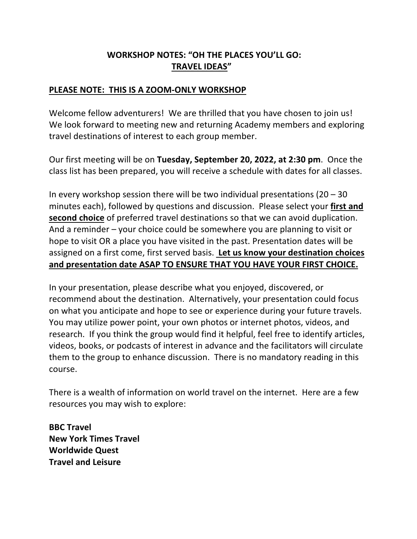## **WORKSHOP NOTES: "OH THE PLACES YOU'LL GO: TRAVEL IDEAS"**

## **PLEASE NOTE: THIS IS A ZOOM-ONLY WORKSHOP**

Welcome fellow adventurers! We are thrilled that you have chosen to join us! We look forward to meeting new and returning Academy members and exploring travel destinations of interest to each group member.

Our first meeting will be on **Tuesday, September 20, 2022, at 2:30 pm**. Once the class list has been prepared, you will receive a schedule with dates for all classes.

In every workshop session there will be two individual presentations  $(20 - 30)$ minutes each), followed by questions and discussion. Please select your **first and second choice** of preferred travel destinations so that we can avoid duplication. And a reminder – your choice could be somewhere you are planning to visit or hope to visit OR a place you have visited in the past. Presentation dates will be assigned on a first come, first served basis. **Let us know your destination choices and presentation date ASAP TO ENSURE THAT YOU HAVE YOUR FIRST CHOICE.**

In your presentation, please describe what you enjoyed, discovered, or recommend about the destination. Alternatively, your presentation could focus on what you anticipate and hope to see or experience during your future travels. You may utilize power point, your own photos or internet photos, videos, and research. If you think the group would find it helpful, feel free to identify articles, videos, books, or podcasts of interest in advance and the facilitators will circulate them to the group to enhance discussion. There is no mandatory reading in this course.

There is a wealth of information on world travel on the internet. Here are a few resources you may wish to explore:

**BBC Travel New York Times Travel Worldwide Quest Travel and Leisure**